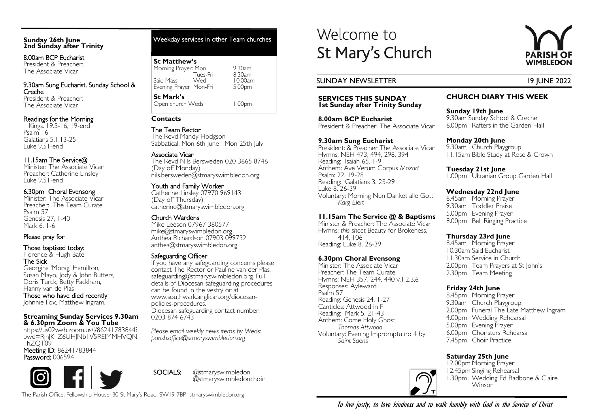#### **Sunday 26th June 2nd Sunday after Trinity**

8.00am BCP Eucharist President & Preacher: The Associate Vicar

9.30am Sung Eucharist, Sunday School & Creche President & Preacher: The Associate Vicar

# Readings for the Morning

1 Kings. 19.5-16, 19-end Psalm 16 Galatians 5.1,13-25 Luke 9.51-end

# 11.15am The Service@

Minister: The Associate Vicar Preacher: Catherine Linsley Luke 9.51-end

# 6.30pm Choral Evensong

Minister: The Associate Vicar Preacher: The Team Curate Psalm 57 Genesis 27, 1-40 Mark 6. 1-6

# Please pray for

Those baptised today:

Florence & Hugh Bate The Sick

Georgina 'Morag' Hamilton, Susan Mayo, Jody & John Butters, Doris Turck, Betty Packham, Hanny van de Plas

Those who have died recently Johnnie Fox, Matthew Ingram,

#### **Streaming Sunday Services 9.30am & 6.30pm Zoom & You Tube**

https://us02web.zoom.us/j/86241783844? pwd=RjhJK1Z6UHJNb1V5RElMMHVQN 1hZQT09

Meeting ID: 86241783844 Password: 006594

Weekday services in other Team churches

# **St Matthew's**

| Morning Prayer: Mon    | 9.30am  |
|------------------------|---------|
| Tues-Fri               | 8.30am  |
| Said Mass<br>Wed       | 10.00am |
| Evening Prayer Mon-Fri | 5.00pm  |
| <b>St Mark's</b>       |         |
| Open church Weds       | 1.00pm  |

# **Contacts**

The Team Rector The Revd Mandy Hodgson Sabbatical: Mon 6th June– Mon 25th July

# Associate Vicar

The Revd Nils Bersweden 020 3665 8746 (Day off Monday) nils.bersweden@stmaryswimbledon.org

# Youth and Family Worker

Catherine Linsley 07970 969143 (Day off Thursday) catherine@stmaryswimbledon.org

# Church Wardens

Mike Leeson 07967 380577 mike@stmaryswimbledon.org Anthea Richardson 07903 099732 anthea@stmaryswimbledon.org

# Safeguarding Officer

If you have any safeguarding concerns please contact The Rector or Pauline van der Plas, safeguarding@stmaryswimbledon.org. Full details of Diocesan safeguarding procedures can be found in the vestry or at www.southwark.anglican.org/diocesanpolicies-procedures. Diocesan safeguarding contact number: 0203 874 6743

*Please email weekly news items by Weds: parish.office@stmaryswimbledon.org*

SOCIALS: @stmaryswimbledon @stmaryswimbledonchoir

# **SERVICES THIS SUNDAY**

Welcome to

**1st Sunday after Trinity Sunday**

St Mary's Church

**8.00am BCP Eucharist** President & Preacher: The Associate Vicar

# **9.30am Sung Eucharist**

President: & Preacher The Associate Vicar Hymns: NEH 473, 494, 298, 394 Reading: Isaiah 65. 1-9 Anthem: Ave Verum Corpus *Mozart* Psalm: 22. 19-28 Reading: Galatians 3. 23-29 Luke 8. 26-39 Voluntary: Morning Nun Danket alle Gott *Karg Elert*

# **11.15am The Service @ & Baptisms**

Minister & Preacher: The Associate Vicar Hymns: *this sheet* Beauty for Brokeness, 414, 106 Reading: Luke 8. 26-39

# **6.30pm Choral Evensong**

Minister: The Associate Vicar Preacher: The Team Curate Hymns: NEH 357, 244, 440 v.1,2,3,6 Responses: Ayleward Psalm 57 Reading: Genesis 24. 1-27 Canticles: Attwood in F Reading: Mark 5. 21-43 Anthem: Come Holy Ghost *Thomas Attwood* Voluntary: Evening Impromptu no 4 by *Saint Saens* 



# SUNDAY NEWSLETTER 19 JUNE 2022

# **CHURCH DIARY THIS WEEK**

**Sunday 19th June** 9.30am Sunday School & Creche 6.00pm Rafters in the Garden Hall

# **Monday 20th June**

9.30am Church Playgroup 11.15am Bible Study at Rose & Crown

# **Tuesday 21st June**

1.00pm Ukranian Group Garden Hall

# **Wednesday 22nd June**

8.45am Morning Prayer 9.30am Toddler Praise 5.00pm Evening Prayer 8.00pm Bell Ringing Practice

# **Thursday 23rd June**

8.45am Morning Prayer 10.30am Said Eucharist 11.30am Service in Church 2.00pm Team Prayers at St John's 2.30pm Team Meeting

# **Friday 24th June**

8.45pm Morning Prayer 9.30am Church Playgroup 2.00pm Funeral The Late Matthew Ingram 4.00pm Wedding Rehearsal 5.00pm Evening Prayer 6.00pm Choristers Rehearsal 7.45pm Choir Practice

# **Saturday 25th June**



12.00pm Morning Prayer 12.45pm Singing Rehearsal 1.30pm Wedding Ed Radbone & Claire **Winsor** 

The Parish Office, Fellowship House, 30 St Mary's Road, SW19 7BP stmaryswimbledon.org

To live justly, to love kindness and to walk humbly with God in the Service of Christ